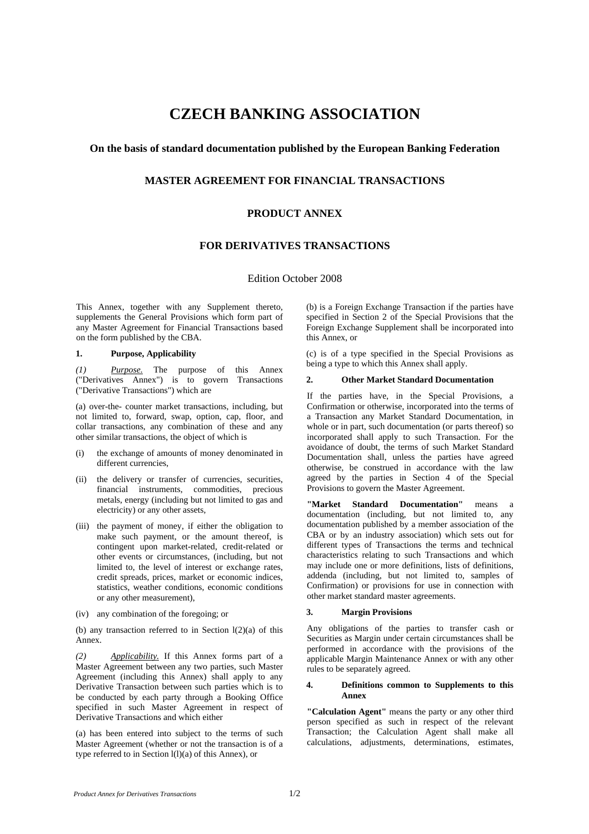# **CZECH BANKING ASSOCIATION**

## **On the basis of standard documentation published by the European Banking Federation**

# **MASTER AGREEMENT FOR FINANCIAL TRANSACTIONS**

# **PRODUCT ANNEX**

# **FOR DERIVATIVES TRANSACTIONS**

## Edition October 2008

This Annex, together with any Supplement thereto, supplements the General Provisions which form part of any Master Agreement for Financial Transactions based on the form published by the CBA.

### **1. Purpose, Applicability**

*(1) Purpose.* The purpose of this Annex ("Derivatives Annex") is to govern Transactions ("Derivative Transactions") which are

(a) over-the- counter market transactions, including, but not limited to, forward, swap, option, cap, floor, and collar transactions, any combination of these and any other similar transactions, the object of which is

- the exchange of amounts of money denominated in different currencies,
- (ii) the delivery or transfer of currencies, securities, financial instruments, commodities, precious metals, energy (including but not limited to gas and electricity) or any other assets,
- (iii) the payment of money, if either the obligation to make such payment, or the amount thereof, is contingent upon market-related, credit-related or other events or circumstances, (including, but not limited to, the level of interest or exchange rates, credit spreads, prices, market or economic indices, statistics, weather conditions, economic conditions or any other measurement),
- (iv) any combination of the foregoing; or

(b) any transaction referred to in Section  $l(2)(a)$  of this Annex.

*(2) Applicability.* If this Annex forms part of a Master Agreement between any two parties, such Master Agreement (including this Annex) shall apply to any Derivative Transaction between such parties which is to be conducted by each party through a Booking Office specified in such Master Agreement in respect of Derivative Transactions and which either

(a) has been entered into subject to the terms of such Master Agreement (whether or not the transaction is of a type referred to in Section l(l)(a) of this Annex), or

(b) is a Foreign Exchange Transaction if the parties have specified in Section 2 of the Special Provisions that the Foreign Exchange Supplement shall be incorporated into this Annex, or

(c) is of a type specified in the Special Provisions as being a type to which this Annex shall apply.

#### **2. Other Market Standard Documentation**

If the parties have, in the Special Provisions, a Confirmation or otherwise, incorporated into the terms of a Transaction any Market Standard Documentation, in whole or in part, such documentation (or parts thereof) so incorporated shall apply to such Transaction. For the avoidance of doubt, the terms of such Market Standard Documentation shall, unless the parties have agreed otherwise, be construed in accordance with the law agreed by the parties in Section 4 of the Special Provisions to govern the Master Agreement.

**"Market Standard Documentation"** means a documentation (including, but not limited to, any documentation published by a member association of the CBA or by an industry association) which sets out for different types of Transactions the terms and technical characteristics relating to such Transactions and which may include one or more definitions, lists of definitions, addenda (including, but not limited to, samples of Confirmation) or provisions for use in connection with other market standard master agreements.

#### **3. Margin Provisions**

Any obligations of the parties to transfer cash or Securities as Margin under certain circumstances shall be performed in accordance with the provisions of the applicable Margin Maintenance Annex or with any other rules to be separately agreed.

#### **4. Definitions common to Supplements to this Annex**

**"Calculation Agent"** means the party or any other third person specified as such in respect of the relevant Transaction; the Calculation Agent shall make all calculations, adjustments, determinations, estimates,